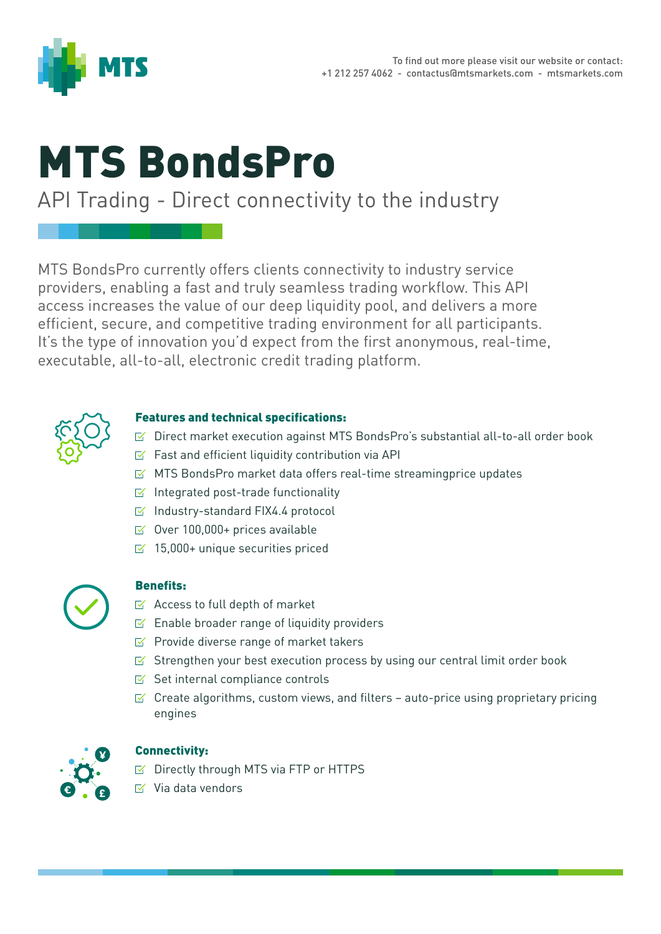

# MTS BondsPro

## API Trading - Direct connectivity to the industry

MTS BondsPro currently offers clients connectivity to industry service providers, enabling a fast and truly seamless trading workflow. This API access increases the value of our deep liquidity pool, and delivers a more efficient, secure, and competitive trading environment for all participants. It's the type of innovation you'd expect from the first anonymous, real-time, executable, all-to-all, electronic credit trading platform.



#### Features and technical specifications:

- $\leq$  Direct market execution against MTS BondsPro's substantial all-to-all order book
- $\triangleright$  Fast and efficient liquidity contribution via API
- $\leq$  MTS BondsPro market data offers real-time streamingprice updates
- $I \subseteq I$  Integrated post-trade functionality
- $\boxtimes$  Industry-standard FIX4.4 protocol
- $\leq$  Over 100,000+ prices available
- $\leq$  15,000+ unique securities priced



#### Benefits:

- $\leq$  Access to full depth of market
- $E$  Enable broader range of liquidity providers
- $\triangleright$  Provide diverse range of market takers
- $\leq$  Strengthen your best execution process by using our central limit order book
- $\leq$  Set internal compliance controls
- $\leq$  Create algorithms, custom views, and filters auto-price using proprietary pricing engines



#### Connectivity:

- $\triangleright$  Directly through MTS via FTP or HTTPS
- $\overline{\mathsf{V}}$  Via data vendors